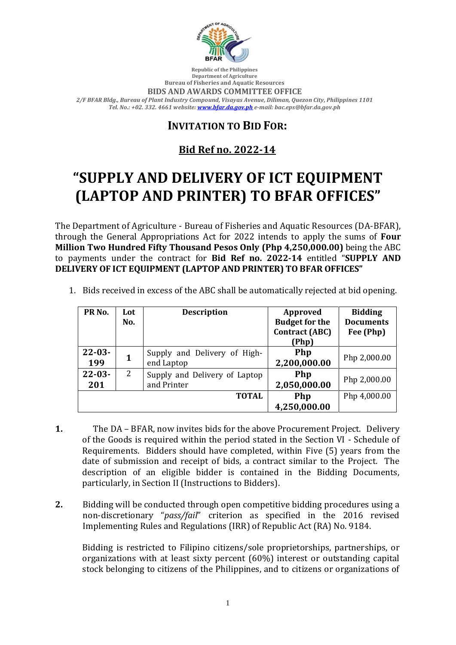

**Republic of the Philippines Department of Agriculture Bureau of Fisheries and Aquatic Resources**

**BIDS AND AWARDS COMMITTEE OFFICE**

*2/F BFAR Bldg., Bureau of Plant Industry Compound, Visayas Avenue, Diliman, Quezon City, Philippines 1101 Tel. No.: +02. 332. 4661 website[: www.bfar.da.gov.ph](http://www.bfar.da.gov.ph/) e-mail: bac.eps@bfar.da.gov.ph*

## **INVITATION TO BID FOR:**

## **Bid Ref no. 2022-14**

## **"SUPPLY AND DELIVERY OF ICT EQUIPMENT (LAPTOP AND PRINTER) TO BFAR OFFICES"**

The Department of Agriculture - Bureau of Fisheries and Aquatic Resources (DA-BFAR), through the General Appropriations Act for 2022 intends to apply the sums of **Four Million Two Hundred Fifty Thousand Pesos Only (Php 4,250,000.00)** being the ABC to payments under the contract for **Bid Ref no. 2022-14** entitled "**SUPPLY AND DELIVERY OF ICT EQUIPMENT (LAPTOP AND PRINTER) TO BFAR OFFICES"**

| PR <sub>No.</sub>  | Lot<br>No. | <b>Description</b>                           | <b>Approved</b><br><b>Budget for the</b><br><b>Contract (ABC)</b><br>(Php) | <b>Bidding</b><br><b>Documents</b><br>Fee (Php) |
|--------------------|------------|----------------------------------------------|----------------------------------------------------------------------------|-------------------------------------------------|
| $22 - 03 -$<br>199 | 1          | Supply and Delivery of High-<br>end Laptop   | Php<br>2,200,000.00                                                        | Php 2,000.00                                    |
| $22 - 03 -$<br>201 | 2          | Supply and Delivery of Laptop<br>and Printer | Php<br>2,050,000.00                                                        | Php 2,000.00                                    |
|                    |            | <b>TOTAL</b>                                 | Php                                                                        | Php 4,000.00                                    |
|                    |            |                                              | 4,250,000.00                                                               |                                                 |

1. Bids received in excess of the ABC shall be automatically rejected at bid opening.

- **1.** The DA BFAR, now invites bids for the above Procurement Project. Delivery of the Goods is required within the period stated in the Section VI - Schedule of Requirements. Bidders should have completed, within Five (5) years from the date of submission and receipt of bids, a contract similar to the Project. The description of an eligible bidder is contained in the Bidding Documents, particularly, in Section II (Instructions to Bidders).
- **2.** Bidding will be conducted through open competitive bidding procedures using a non-discretionary "*pass/fail*" criterion as specified in the 2016 revised Implementing Rules and Regulations (IRR) of Republic Act (RA) No. 9184.

Bidding is restricted to Filipino citizens/sole proprietorships, partnerships, or organizations with at least sixty percent (60%) interest or outstanding capital stock belonging to citizens of the Philippines, and to citizens or organizations of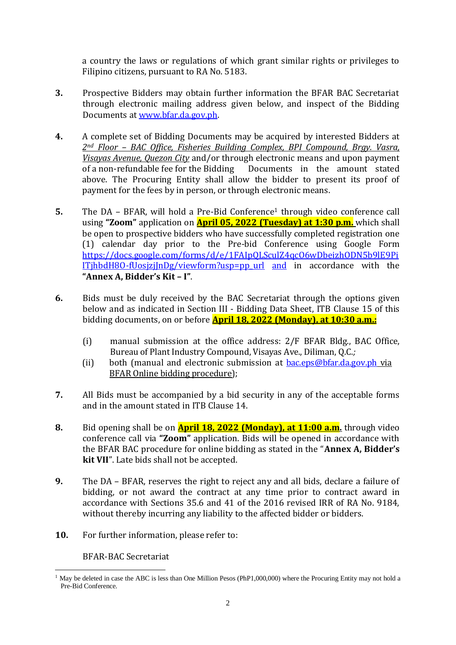a country the laws or regulations of which grant similar rights or privileges to Filipino citizens, pursuant to RA No. 5183.

- **3.** Prospective Bidders may obtain further information the BFAR BAC Secretariat through electronic mailing address given below, and inspect of the Bidding Documents at [www.bfar.da.gov.ph.](http://www.bfar.da.gov.ph/)
- **4.** A complete set of Bidding Documents may be acquired by interested Bidders at *2nd Floor – BAC Office, Fisheries Building Complex, BPI Compound, Brgy. Vasra, Visayas Avenue, Quezon City* and/or through electronic means and upon payment of a non-refundable fee for the Bidding Documents in the amount stated above. The Procuring Entity shall allow the bidder to present its proof of payment for the fees by in person, or through electronic means.
- **5.** The DA BFAR, will hold a Pre-Bid Conference<sup>1</sup> through video conference call using **"Zoom"** application on **April 05, 2022 (Tuesday) at 1:30 p.m.** which shall be open to prospective bidders who have successfully completed registration one (1) calendar day prior to the Pre-bid Conference using Google Form [https://docs.google.com/forms/d/e/1FAIpQLSculZ4qcO6wDbeizhODN5b9lE9Pi](https://docs.google.com/forms/d/e/1FAIpQLSculZ4qcO6wDbeizhODN5b9lE9PiITjhbdH8O-fUosjzjJnDg/viewform?usp=pp_url)  $IThbdH8O-fUosizilnDg/viewform?usp=ppurl and in accordance with the$ **"Annex A, Bidder's Kit – I"**.
- **6.** Bids must be duly received by the BAC Secretariat through the options given below and as indicated in Section III - Bidding Data Sheet, ITB Clause 15 of this bidding documents, on or before **April 18, 2022 (Monday), at 10:30 a.m.:**
	- (i) manual submission at the office address: 2/F BFAR Bldg., BAC Office, Bureau of Plant Industry Compound, Visayas Ave., Diliman, Q.C.*;*
	- (ii) both (manual and electronic submission at  $bac.eps@bfar.da.gov.ph$  via BFAR Online bidding procedure);
- **7.** All Bids must be accompanied by a bid security in any of the acceptable forms and in the amount stated in ITB Clause 14.
- **8.** Bid opening shall be on **April 18, 2022 (Monday), at 11:00 a.m.** through video conference call via **"Zoom"** application. Bids will be opened in accordance with the BFAR BAC procedure for online bidding as stated in the "**Annex A, Bidder's kit VII**". Late bids shall not be accepted.
- **9.** The DA BFAR, reserves the right to reject any and all bids, declare a failure of bidding, or not award the contract at any time prior to contract award in accordance with Sections 35.6 and 41 of the 2016 revised IRR of RA No. 9184, without thereby incurring any liability to the affected bidder or bidders.
- **10.** For further information, please refer to:

BFAR-BAC Secretariat

<sup>&</sup>lt;sup>1</sup> May be deleted in case the ABC is less than One Million Pesos (PhP1,000,000) where the Procuring Entity may not hold a Pre-Bid Conference.